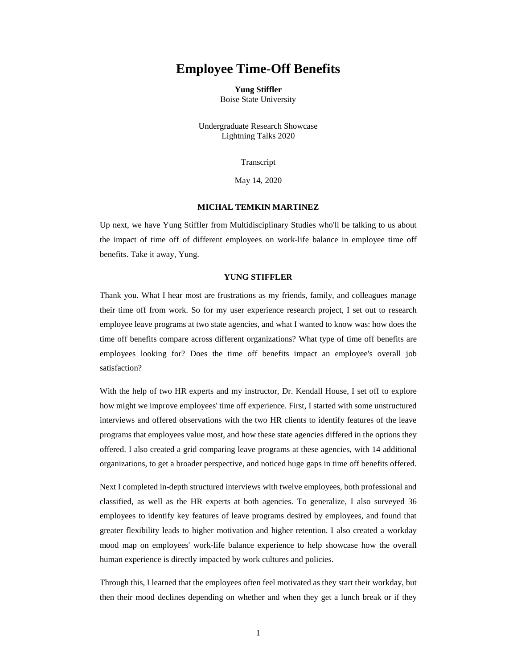## **Employee Time-Off Benefits**

**Yung Stiffler** Boise State University

Undergraduate Research Showcase Lightning Talks 2020

Transcript

May 14, 2020

## **MICHAL TEMKIN MARTINEZ**

Up next, we have Yung Stiffler from Multidisciplinary Studies who'll be talking to us about the impact of time off of different employees on work-life balance in employee time off benefits. Take it away, Yung.

## **YUNG STIFFLER**

Thank you. What I hear most are frustrations as my friends, family, and colleagues manage their time off from work. So for my user experience research project, I set out to research employee leave programs at two state agencies, and what I wanted to know was: how does the time off benefits compare across different organizations? What type of time off benefits are employees looking for? Does the time off benefits impact an employee's overall job satisfaction?

With the help of two HR experts and my instructor, Dr. Kendall House, I set off to explore how might we improve employees' time off experience. First, I started with some unstructured interviews and offered observations with the two HR clients to identify features of the leave programs that employees value most, and how these state agencies differed in the options they offered. I also created a grid comparing leave programs at these agencies, with 14 additional organizations, to get a broader perspective, and noticed huge gaps in time off benefits offered.

Next I completed in-depth structured interviews with twelve employees, both professional and classified, as well as the HR experts at both agencies. To generalize, I also surveyed 36 employees to identify key features of leave programs desired by employees, and found that greater flexibility leads to higher motivation and higher retention. I also created a workday mood map on employees' work-life balance experience to help showcase how the overall human experience is directly impacted by work cultures and policies.

Through this, I learned that the employees often feel motivated as they start their workday, but then their mood declines depending on whether and when they get a lunch break or if they